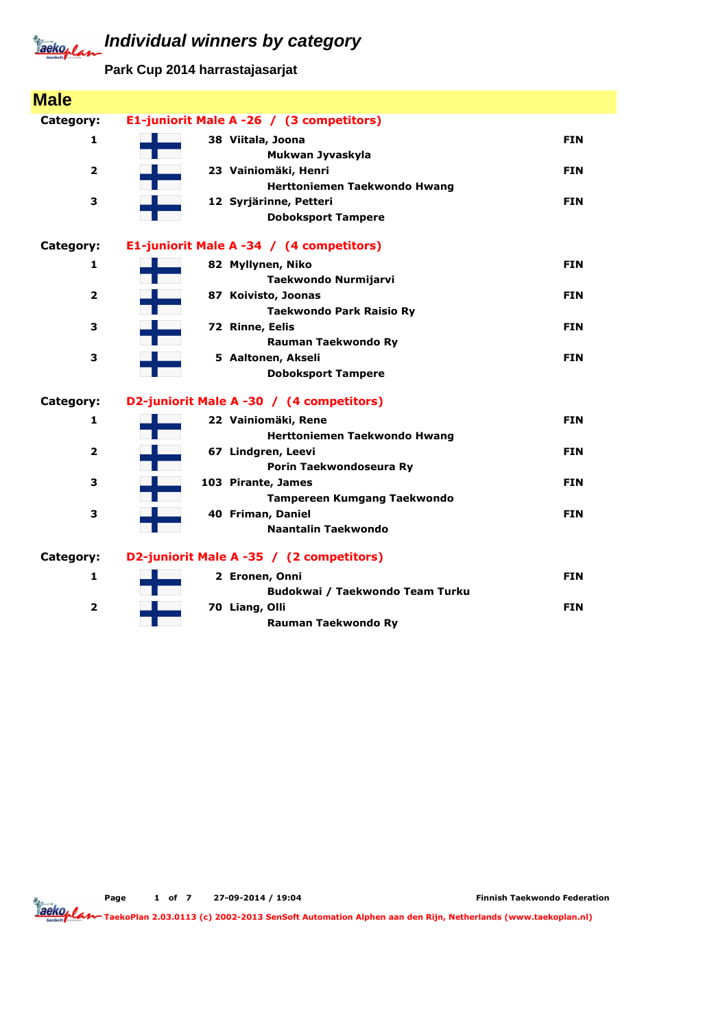**Park Cup 2014 harrastajasarjat**

| <b>Male</b>             |                                                        |            |
|-------------------------|--------------------------------------------------------|------------|
| Category:               | E1-juniorit Male A -26 / (3 competitors)               |            |
| 1                       | 38 Viitala, Joona<br>Mukwan Jyvaskyla                  | <b>FIN</b> |
| $\overline{\mathbf{2}}$ | 23 Vainiomäki, Henri<br>Herttoniemen Taekwondo Hwang   | <b>FIN</b> |
| 3                       | 12 Syrjärinne, Petteri<br><b>Doboksport Tampere</b>    | <b>FIN</b> |
| Category:               | E1-juniorit Male A -34 / (4 competitors)               |            |
| 1                       | 82 Myllynen, Niko<br>Taekwondo Nurmijarvi              | <b>FIN</b> |
| $\overline{\mathbf{2}}$ | 87 Koivisto, Joonas<br><b>Taekwondo Park Raisio Ry</b> | <b>FIN</b> |
| 3                       | 72 Rinne, Eelis<br>Rauman Taekwondo Ry                 | <b>FIN</b> |
| 3                       | 5 Aaltonen, Akseli<br><b>Doboksport Tampere</b>        | <b>FIN</b> |
| Category:               | D2-juniorit Male A -30 / (4 competitors)               |            |
| 1                       | 22 Vainiomäki, Rene<br>Herttoniemen Taekwondo Hwang    | <b>FIN</b> |
| $\overline{\mathbf{2}}$ | 67 Lindgren, Leevi<br>Porin Taekwondoseura Ry          | FIN        |
| 3                       | 103 Pirante, James<br>Tampereen Kumgang Taekwondo      | <b>FIN</b> |
| 3                       | 40 Friman, Daniel<br>Naantalin Taekwondo               | <b>FIN</b> |
| Category:               | D2-juniorit Male A -35 / (2 competitors)               |            |
| 1                       | 2 Eronen, Onni<br>Budokwai / Taekwondo Team Turku      | <b>FIN</b> |
| $\overline{\mathbf{2}}$ | 70 Liang, Olli<br>Rauman Taekwondo Ry                  | <b>FIN</b> |

Page 1 of 7 27-09-2014 / 19:04

Finnish Taekwondo Federation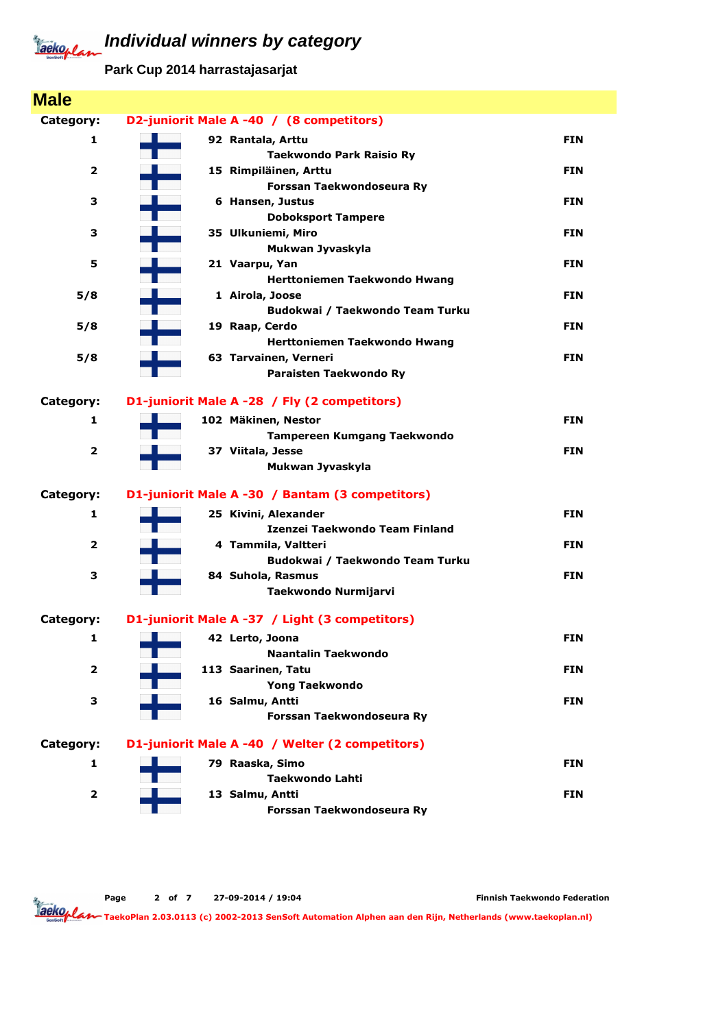**Park Cup 2014 harrastajasarjat**

| <b>Male</b>             |                                                    |            |
|-------------------------|----------------------------------------------------|------------|
| Category:               | D2-juniorit Male A -40 / (8 competitors)           |            |
| 1                       | 92 Rantala, Arttu                                  | <b>FIN</b> |
|                         | <b>Taekwondo Park Raisio Ry</b>                    |            |
| $\overline{\mathbf{2}}$ | 15 Rimpiläinen, Arttu                              | <b>FIN</b> |
|                         | Forssan Taekwondoseura Ry                          |            |
| 3                       | 6 Hansen, Justus                                   | <b>FIN</b> |
|                         | <b>Doboksport Tampere</b>                          |            |
| 3                       | 35 Ulkuniemi, Miro                                 | <b>FIN</b> |
|                         | Mukwan Jyvaskyla                                   |            |
| 5                       | 21 Vaarpu, Yan                                     | <b>FIN</b> |
|                         | Herttoniemen Taekwondo Hwang                       | <b>FIN</b> |
| 5/8                     | 1 Airola, Joose<br>Budokwai / Taekwondo Team Turku |            |
| 5/8                     | 19 Raap, Cerdo                                     | <b>FIN</b> |
|                         | Herttoniemen Taekwondo Hwang                       |            |
| 5/8                     | 63 Tarvainen, Verneri                              | <b>FIN</b> |
|                         | Paraisten Taekwondo Ry                             |            |
|                         |                                                    |            |
| Category:               | D1-juniorit Male A -28 / Fly (2 competitors)       |            |
| 1                       | 102 Mäkinen, Nestor                                | <b>FIN</b> |
|                         | <b>Tampereen Kumgang Taekwondo</b>                 |            |
| $\overline{\mathbf{2}}$ | 37 Viitala, Jesse                                  | <b>FIN</b> |
|                         | Mukwan Jyvaskyla                                   |            |
| Category:               | D1-juniorit Male A -30 / Bantam (3 competitors)    |            |
| 1                       | 25 Kivini, Alexander                               | <b>FIN</b> |
|                         | Izenzei Taekwondo Team Finland                     |            |
| $\overline{\mathbf{2}}$ | 4 Tammila, Valtteri                                | <b>FIN</b> |
|                         | Budokwai / Taekwondo Team Turku                    |            |
| З                       | 84 Suhola, Rasmus                                  | <b>FIN</b> |
|                         | Taekwondo Nurmijarvi                               |            |
| Category:               | D1-juniorit Male A -37 / Light (3 competitors)     |            |
|                         |                                                    |            |
| 1                       | 42 Lerto, Joona<br><b>Naantalin Taekwondo</b>      | <b>FIN</b> |
| $\mathbf{2}$            | 113 Saarinen, Tatu                                 | <b>FIN</b> |
|                         | <b>Yong Taekwondo</b>                              |            |
| З                       | 16 Salmu, Antti                                    | <b>FIN</b> |
|                         | Forssan Taekwondoseura Ry                          |            |
|                         |                                                    |            |
| Category:               | D1-juniorit Male A -40 / Welter (2 competitors)    |            |
| 1                       | 79 Raaska, Simo                                    | <b>FIN</b> |
|                         | <b>Taekwondo Lahti</b>                             |            |
| $\overline{\mathbf{2}}$ | 13 Salmu, Antti                                    | <b>FIN</b> |
|                         | Forssan Taekwondoseura Ry                          |            |

Page 2 of 7 27-09-2014 / 19:04

Finnish Taekwondo Federation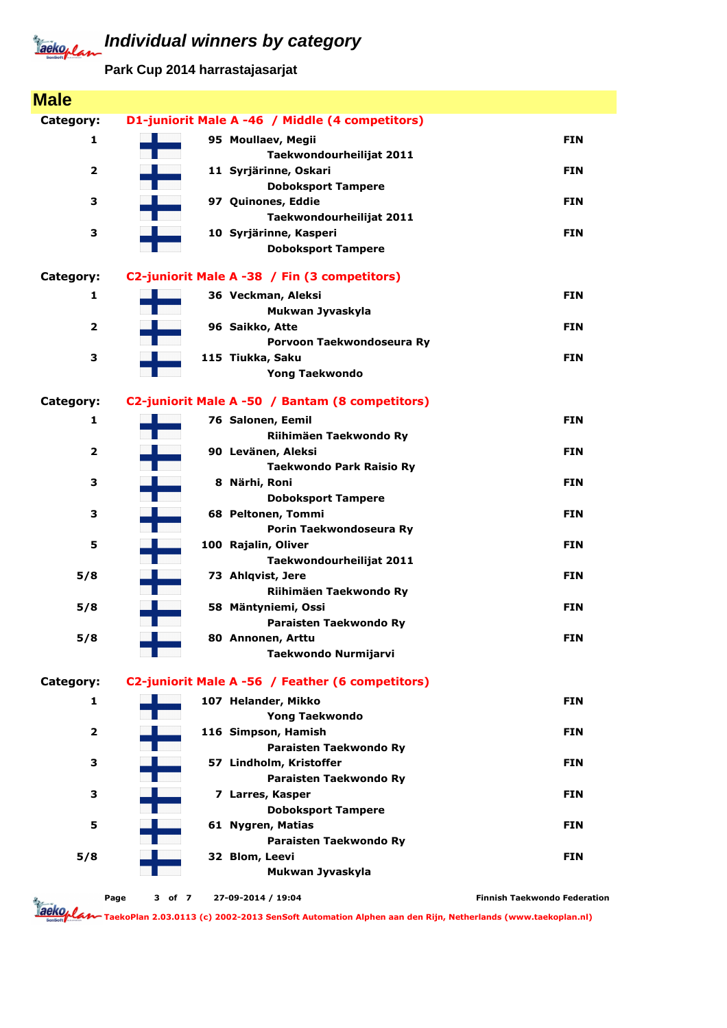**Park Cup 2014 harrastajasarjat**

| <b>Male</b>             |        |                                                  |                                     |
|-------------------------|--------|--------------------------------------------------|-------------------------------------|
| Category:               |        | D1-juniorit Male A -46 / Middle (4 competitors)  |                                     |
| 1                       |        | 95 Moullaev, Megii                               | <b>FIN</b>                          |
|                         |        | Taekwondourheilijat 2011                         |                                     |
| $\overline{\mathbf{2}}$ |        | 11 Syrjärinne, Oskari                            | <b>FIN</b>                          |
|                         |        | <b>Doboksport Tampere</b>                        |                                     |
| З                       |        | 97 Quinones, Eddie                               | <b>FIN</b>                          |
|                         |        | Taekwondourheilijat 2011                         |                                     |
| З                       |        | 10 Syrjärinne, Kasperi                           | <b>FIN</b>                          |
|                         |        | <b>Doboksport Tampere</b>                        |                                     |
| Category:               |        | C2-juniorit Male A -38 / Fin (3 competitors)     |                                     |
| 1                       |        | 36 Veckman, Aleksi                               | <b>FIN</b>                          |
|                         |        | Mukwan Jyvaskyla                                 |                                     |
| $\overline{\mathbf{2}}$ |        | 96 Saikko, Atte                                  | <b>FIN</b>                          |
|                         |        | Porvoon Taekwondoseura Ry                        |                                     |
| 3                       |        | 115 Tiukka, Saku                                 | <b>FIN</b>                          |
|                         |        | <b>Yong Taekwondo</b>                            |                                     |
| Category:               |        | C2-juniorit Male A -50 / Bantam (8 competitors)  |                                     |
| 1                       |        | 76 Salonen, Eemil                                | <b>FIN</b>                          |
|                         |        | Riihimäen Taekwondo Ry                           |                                     |
| $\overline{\mathbf{2}}$ |        | 90 Levänen, Aleksi                               | <b>FIN</b>                          |
|                         |        | <b>Taekwondo Park Raisio Ry</b>                  |                                     |
| 3                       |        | 8 Närhi, Roni                                    | <b>FIN</b>                          |
|                         |        | <b>Doboksport Tampere</b>                        |                                     |
| 3                       |        | 68 Peltonen, Tommi                               | <b>FIN</b>                          |
|                         |        | Porin Taekwondoseura Ry                          |                                     |
| 5                       |        | 100 Rajalin, Oliver                              | <b>FIN</b>                          |
|                         |        | Taekwondourheilijat 2011                         |                                     |
| 5/8                     |        | 73 Ahlqvist, Jere                                | <b>FIN</b>                          |
|                         |        | Riihimäen Taekwondo Ry<br>58 Mäntyniemi, Ossi    | <b>FIN</b>                          |
| 5/8                     |        | Paraisten Taekwondo Ry                           |                                     |
| 5/8                     |        | 80 Annonen, Arttu                                | <b>FIN</b>                          |
|                         |        | Taekwondo Nurmijarvi                             |                                     |
|                         |        |                                                  |                                     |
| Category:               |        | C2-juniorit Male A -56 / Feather (6 competitors) |                                     |
| 1                       |        | 107 Helander, Mikko                              | <b>FIN</b>                          |
|                         |        | <b>Yong Taekwondo</b>                            |                                     |
| $\overline{\mathbf{2}}$ |        | 116 Simpson, Hamish                              | <b>FIN</b>                          |
|                         |        | Paraisten Taekwondo Ry                           |                                     |
| З                       |        | 57 Lindholm, Kristoffer                          | <b>FIN</b>                          |
|                         |        | Paraisten Taekwondo Ry                           |                                     |
| З                       |        | 7 Larres, Kasper<br><b>Doboksport Tampere</b>    | <b>FIN</b>                          |
| 5                       |        | 61 Nygren, Matias                                | <b>FIN</b>                          |
|                         |        | Paraisten Taekwondo Ry                           |                                     |
| 5/8                     |        | 32 Blom, Leevi                                   | <b>FIN</b>                          |
|                         |        | Mukwan Jyvaskyla                                 |                                     |
|                         |        |                                                  |                                     |
| Page<br>aeko, l.        | 3 of 7 | 27-09-2014 / 19:04                               | <b>Finnish Taekwondo Federation</b> |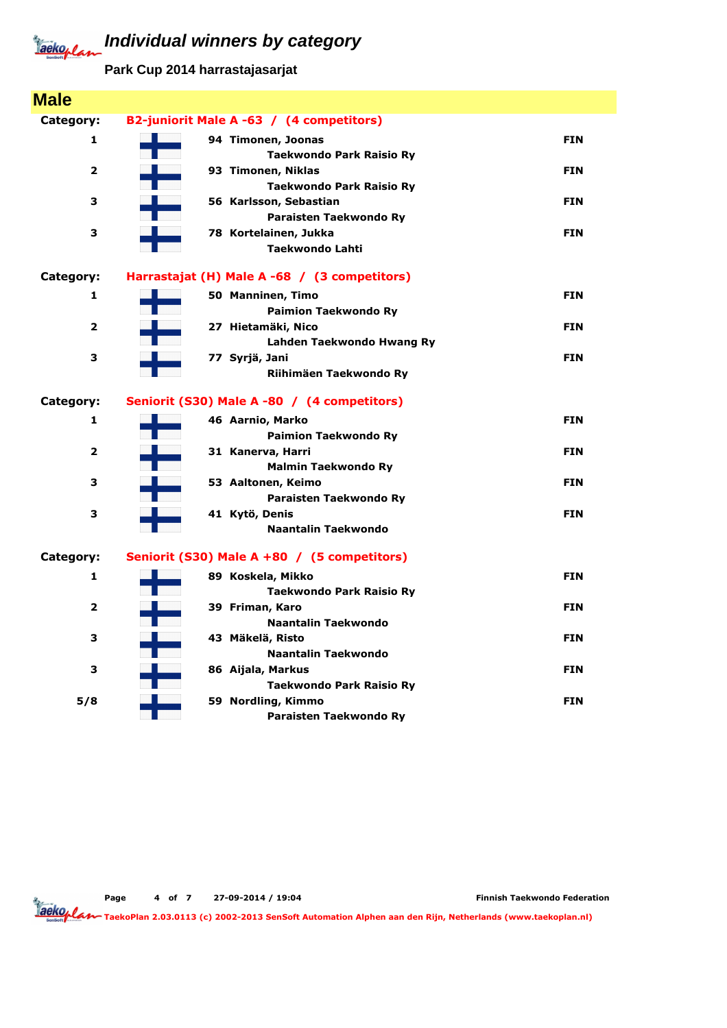**Park Cup 2014 harrastajasarjat**

| <b>Male</b>    |                                              |            |
|----------------|----------------------------------------------|------------|
| Category:      | B2-juniorit Male A -63 / (4 competitors)     |            |
| 1              | 94 Timonen, Joonas                           | <b>FIN</b> |
|                | <b>Taekwondo Park Raisio Ry</b>              |            |
| $\overline{2}$ | 93 Timonen, Niklas                           | <b>FIN</b> |
|                | Taekwondo Park Raisio Ry                     |            |
| 3              | 56 Karlsson, Sebastian                       | <b>FIN</b> |
|                | Paraisten Taekwondo Ry                       |            |
| 3              | 78 Kortelainen, Jukka                        | <b>FIN</b> |
|                | <b>Taekwondo Lahti</b>                       |            |
| Category:      | Harrastajat (H) Male A -68 / (3 competitors) |            |
| 1              | 50 Manninen, Timo                            | <b>FIN</b> |
|                | <b>Paimion Taekwondo Ry</b>                  |            |
| 2              | 27 Hietamäki, Nico                           | <b>FIN</b> |
|                | Lahden Taekwondo Hwang Ry                    |            |
| 3              | 77 Syrjä, Jani                               | <b>FIN</b> |
|                | Riihimäen Taekwondo Ry                       |            |
| Category:      | Seniorit (S30) Male A -80 / (4 competitors)  |            |
| 1              | 46 Aarnio, Marko                             | <b>FIN</b> |
|                | <b>Paimion Taekwondo Ry</b>                  |            |
| $\mathbf{z}$   | 31 Kanerva, Harri                            | <b>FIN</b> |
|                | <b>Malmin Taekwondo Ry</b>                   |            |
| 3              | 53 Aaltonen, Keimo                           | <b>FIN</b> |
|                | Paraisten Taekwondo Ry                       |            |
| 3              | 41 Kytö, Denis                               | <b>FIN</b> |
|                | Naantalin Taekwondo                          |            |
| Category:      | Seniorit (S30) Male A +80 / (5 competitors)  |            |
| 1              | 89 Koskela, Mikko                            | <b>FIN</b> |
|                | <b>Taekwondo Park Raisio Ry</b>              |            |
| $\mathbf{z}$   | 39 Friman, Karo                              | <b>FIN</b> |
|                | <b>Naantalin Taekwondo</b>                   |            |
| з              | 43 Mäkelä, Risto                             | <b>FIN</b> |
|                | <b>Naantalin Taekwondo</b>                   |            |
| 3              | 86 Aijala, Markus                            | <b>FIN</b> |
|                | Taekwondo Park Raisio Ry                     |            |
| 5/8            | 59 Nordling, Kimmo                           | <b>FIN</b> |
|                | Paraisten Taekwondo Ry                       |            |

Page 4 of 7 27-09-2014 / 19:04

Finnish Taekwondo Federation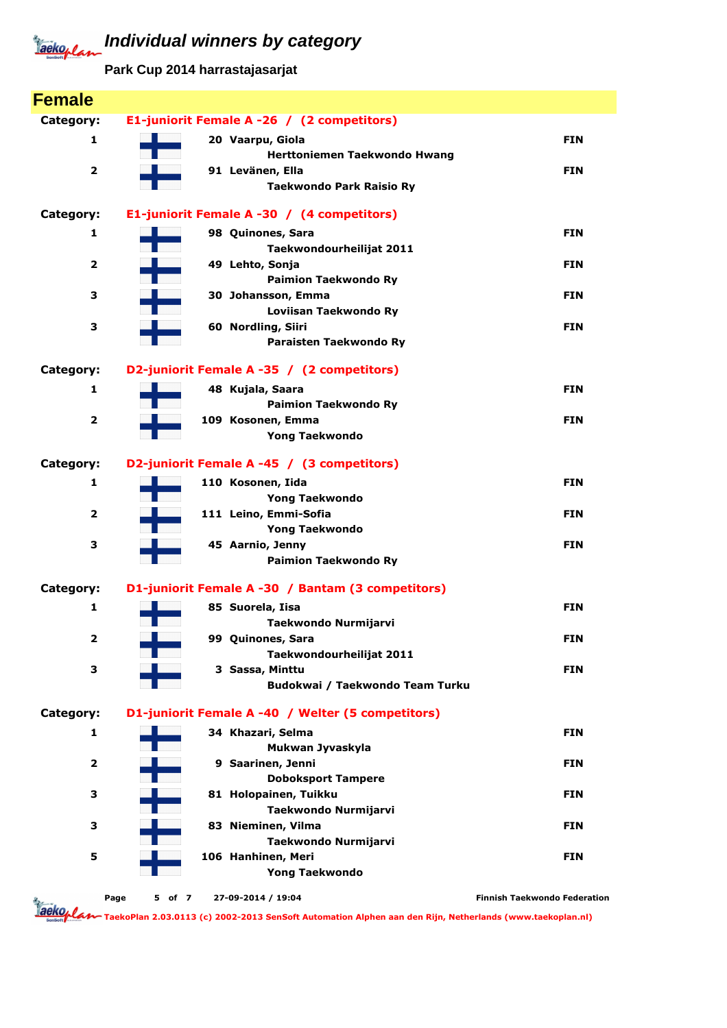**Park Cup 2014 harrastajasarjat**

| <b>Female</b>           |                                                   |                                     |
|-------------------------|---------------------------------------------------|-------------------------------------|
| Category:               | E1-juniorit Female A -26 / (2 competitors)        |                                     |
| 1                       | 20 Vaarpu, Giola                                  | <b>FIN</b>                          |
|                         | Herttoniemen Taekwondo Hwang                      |                                     |
| $\mathbf{z}$            | 91 Levänen, Ella                                  | <b>FIN</b>                          |
|                         | <b>Taekwondo Park Raisio Ry</b>                   |                                     |
| Category:               | E1-juniorit Female A -30 / (4 competitors)        |                                     |
| 1                       | 98 Quinones, Sara                                 | <b>FIN</b>                          |
|                         | Taekwondourheilijat 2011                          |                                     |
| $\overline{\mathbf{2}}$ | 49 Lehto, Sonja                                   | <b>FIN</b>                          |
|                         | <b>Paimion Taekwondo Ry</b>                       |                                     |
| 3                       | 30 Johansson, Emma                                | <b>FIN</b>                          |
|                         | Loviisan Taekwondo Ry                             |                                     |
| 3                       | 60 Nordling, Siiri                                | <b>FIN</b>                          |
|                         | Paraisten Taekwondo Ry                            |                                     |
| Category:               | D2-juniorit Female A -35 / (2 competitors)        |                                     |
| 1                       | 48 Kujala, Saara                                  | <b>FIN</b>                          |
|                         | <b>Paimion Taekwondo Ry</b>                       |                                     |
| $\overline{\mathbf{2}}$ | 109 Kosonen, Emma                                 | <b>FIN</b>                          |
|                         | <b>Yong Taekwondo</b>                             |                                     |
| Category:               | D2-juniorit Female A -45 / (3 competitors)        |                                     |
| 1                       | 110 Kosonen, Iida                                 | <b>FIN</b>                          |
|                         | <b>Yong Taekwondo</b>                             |                                     |
| $\mathbf{z}$            | 111 Leino, Emmi-Sofia                             | <b>FIN</b>                          |
|                         | <b>Yong Taekwondo</b>                             |                                     |
| 3                       | 45 Aarnio, Jenny                                  | <b>FIN</b>                          |
|                         | <b>Paimion Taekwondo Ry</b>                       |                                     |
| Category:               | D1-juniorit Female A -30 / Bantam (3 competitors) |                                     |
| 1                       | 85 Suorela, Iisa                                  | <b>FIN</b>                          |
|                         | Taekwondo Nurmijarvi                              |                                     |
| 2                       | 99 Quinones, Sara                                 | <b>FIN</b>                          |
|                         | Taekwondourheilijat 2011                          |                                     |
| 3                       | 3 Sassa, Minttu                                   | <b>FIN</b>                          |
|                         | Budokwai / Taekwondo Team Turku                   |                                     |
| Category:               | D1-juniorit Female A -40 / Welter (5 competitors) |                                     |
| 1                       | 34 Khazari, Selma                                 | <b>FIN</b>                          |
|                         | Mukwan Jyvaskyla                                  |                                     |
| $\mathbf{z}$            | 9 Saarinen, Jenni                                 | <b>FIN</b>                          |
|                         | <b>Doboksport Tampere</b>                         |                                     |
| 3                       | 81 Holopainen, Tuikku                             | <b>FIN</b>                          |
|                         | Taekwondo Nurmijarvi                              |                                     |
| 3                       | 83 Nieminen, Vilma                                | <b>FIN</b>                          |
|                         | Taekwondo Nurmijarvi                              |                                     |
| 5                       | 106 Hanhinen, Meri<br><b>Yong Taekwondo</b>       | <b>FIN</b>                          |
|                         |                                                   |                                     |
| <b>Taeko, P</b>         | Page<br>5 of 7<br>27-09-2014 / 19:04              | <b>Finnish Taekwondo Federation</b> |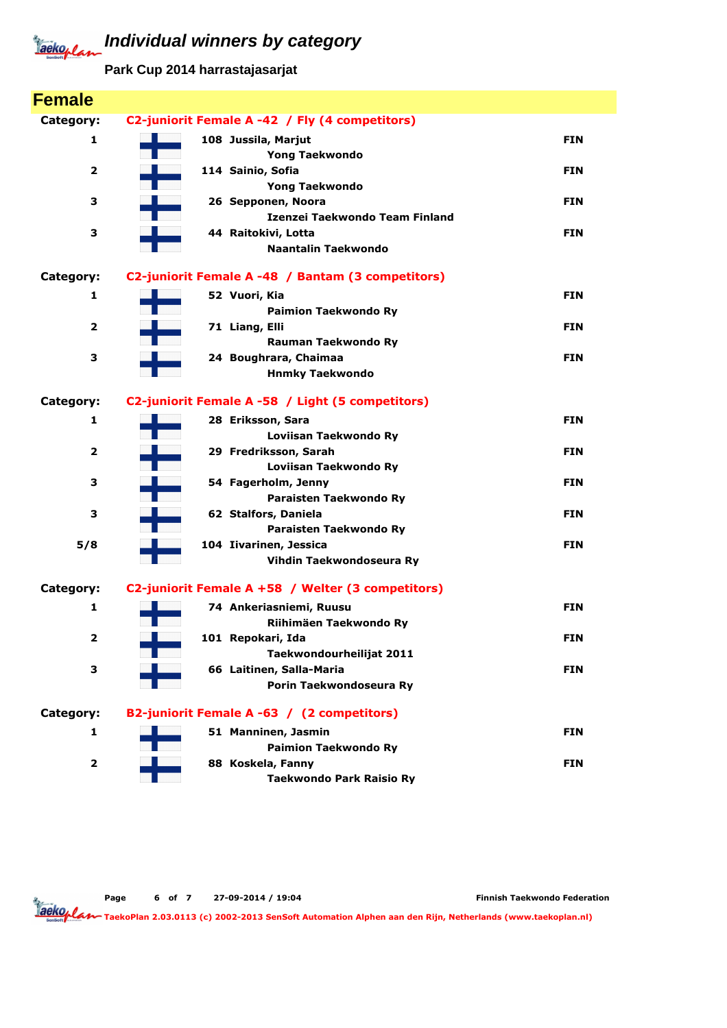**Park Cup 2014 harrastajasarjat**

| <b>Female</b>           |                                                   |            |
|-------------------------|---------------------------------------------------|------------|
| Category:               | C2-juniorit Female A -42 / Fly (4 competitors)    |            |
| 1                       | 108 Jussila, Marjut                               | <b>FIN</b> |
|                         | <b>Yong Taekwondo</b>                             |            |
| $\overline{\mathbf{2}}$ | 114 Sainio, Sofia                                 | <b>FIN</b> |
|                         | <b>Yong Taekwondo</b>                             |            |
| 3                       | 26 Sepponen, Noora                                | <b>FIN</b> |
|                         | Izenzei Taekwondo Team Finland                    |            |
| 3                       | 44 Raitokivi, Lotta                               | <b>FIN</b> |
|                         | Naantalin Taekwondo                               |            |
| Category:               | C2-juniorit Female A -48 / Bantam (3 competitors) |            |
| 1                       | 52 Vuori, Kia                                     | <b>FIN</b> |
|                         | <b>Paimion Taekwondo Ry</b>                       |            |
| $\overline{\mathbf{2}}$ | 71 Liang, Elli                                    | <b>FIN</b> |
|                         | Rauman Taekwondo Ry                               |            |
| 3                       | 24 Boughrara, Chaimaa                             | <b>FIN</b> |
|                         | <b>Hnmky Taekwondo</b>                            |            |
| Category:               | C2-juniorit Female A -58 / Light (5 competitors)  |            |
| 1                       | 28 Eriksson, Sara                                 | <b>FIN</b> |
|                         | Loviisan Taekwondo Ry                             |            |
| $\overline{\mathbf{2}}$ | 29 Fredriksson, Sarah                             | <b>FIN</b> |
|                         | Loviisan Taekwondo Ry                             |            |
| 3                       | 54 Fagerholm, Jenny                               | <b>FIN</b> |
|                         | Paraisten Taekwondo Ry                            |            |
| 3                       | 62 Stalfors, Daniela                              | FIN        |
|                         | Paraisten Taekwondo Ry                            |            |
| 5/8                     | 104 Iivarinen, Jessica                            | <b>FIN</b> |
|                         | Vihdin Taekwondoseura Ry                          |            |
| Category:               | C2-juniorit Female A +58 / Welter (3 competitors) |            |
| 1                       | 74 Ankeriasniemi, Ruusu                           | <b>FIN</b> |
|                         | Riihimäen Taekwondo Ry                            |            |
| $\overline{\mathbf{2}}$ | 101 Repokari, Ida                                 | <b>FIN</b> |
|                         | Taekwondourheilijat 2011                          |            |
| 3                       | 66 Laitinen, Salla-Maria                          | <b>FIN</b> |
|                         | Porin Taekwondoseura Ry                           |            |
| Category:               | B2-juniorit Female A -63 / (2 competitors)        |            |
| 1                       | 51 Manninen, Jasmin                               | <b>FIN</b> |
|                         | <b>Paimion Taekwondo Ry</b>                       |            |
| $\overline{\mathbf{2}}$ | 88 Koskela, Fanny                                 | <b>FIN</b> |
|                         | <b>Taekwondo Park Raisio Ry</b>                   |            |

Page 6 of 7 27-09-2014 / 19:04

Finnish Taekwondo Federation